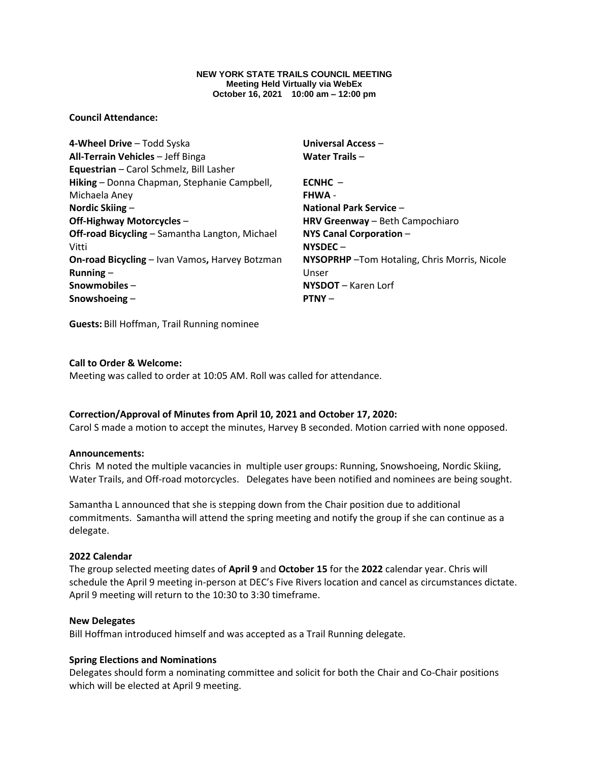#### **NEW YORK STATE TRAILS COUNCIL MEETING Meeting Held Virtually via WebEx October 16, 2021 10:00 am – 12:00 pm**

### **Council Attendance:**

**4-Wheel Drive** – Todd Syska **All-Terrain Vehicles** – Jeff Binga **Equestrian** – Carol Schmelz, Bill Lasher **Hiking** – Donna Chapman, Stephanie Campbell, Michaela Aney **Nordic Skiing** – **Off-Highway Motorcycles** – **Off-road Bicycling** – Samantha Langton, Michael Vitti **On-road Bicycling** – Ivan Vamos**,** Harvey Botzman **Running** – **Snowmobiles** – **Snowshoeing** –

**Universal Access** – **Water Trails** – **ECNHC** – **FHWA** - **National Park Service** – **HRV Greenway** – Beth Campochiaro **NYS Canal Corporation** – **NYSDEC** – **NYSOPRHP** –Tom Hotaling, Chris Morris, Nicole Unser **NYSDOT** – Karen Lorf **PTNY** –

**Guests:** Bill Hoffman, Trail Running nominee

# **Call to Order & Welcome:**

Meeting was called to order at 10:05 AM. Roll was called for attendance.

### **Correction/Approval of Minutes from April 10, 2021 and October 17, 2020:**

Carol S made a motion to accept the minutes, Harvey B seconded. Motion carried with none opposed.

### **Announcements:**

Chris M noted the multiple vacancies in multiple user groups: Running, Snowshoeing, Nordic Skiing, Water Trails, and Off-road motorcycles. Delegates have been notified and nominees are being sought.

Samantha L announced that she is stepping down from the Chair position due to additional commitments. Samantha will attend the spring meeting and notify the group if she can continue as a delegate.

### **2022 Calendar**

The group selected meeting dates of **April 9** and **October 15** for the **2022** calendar year. Chris will schedule the April 9 meeting in-person at DEC's Five Rivers location and cancel as circumstances dictate. April 9 meeting will return to the 10:30 to 3:30 timeframe.

### **New Delegates**

Bill Hoffman introduced himself and was accepted as a Trail Running delegate.

### **Spring Elections and Nominations**

Delegates should form a nominating committee and solicit for both the Chair and Co-Chair positions which will be elected at April 9 meeting.